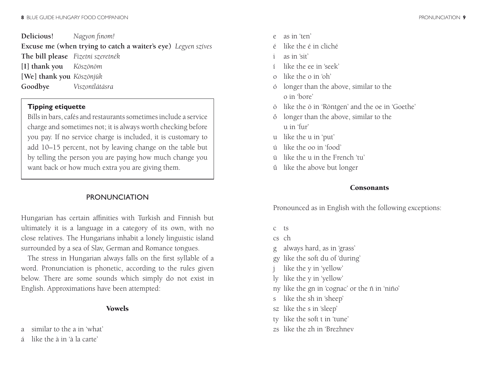**Delicious!** *Nagyon finom!*

**Excuse me (when trying to catch a waiter's eye)** *Legyen szíves* **The bill please** *Fizetni szeretnék* **[I] thank you** *Köszönöm* **[We] thank you** *Köszönjük* **Goodbye** *Viszontlátásra*

## **Tipping etiquette**

Bills in bars, cafés and restaurants sometimes include a service charge and sometimes not; it is always worth checking before you pay. If no service charge is included, it is customary to add 10–15 percent, not by leaving change on the table but by telling the person you are paying how much change you want back or how much extra you are giving them.

## PRONUNCIATION

Hungarian has certain affinities with Turkish and Finnish but ultimately it is a language in a category of its own, with no close relatives. The Hungarians inhabit a lonely linguistic island surrounded by a sea of Slav, German and Romance tongues.

The stress in Hungarian always falls on the first syllable of a word. Pronunciation is phonetic, according to the rules given below. There are some sounds which simply do not exist in English. Approximations have been attempted:

#### Vowels

- a similar to the a in 'what'
- á like the à in 'à la carte'
- e as in 'ten'
- like the é in cliché
- as in 'sit'
- í like the ee in 'seek'
- o like the o in 'oh'
- ó longer than the above, similar to the o in 'bore'
- ö like the ö in 'Röntgen' and the oe in 'Goethe'
- ő longer than the above, similar to the u in 'fur'
- u like the u in 'put'
- ú like the oo in 'food'
- ü like the u in the French 'tu'
- ű like the above but longer

## **Consonants**

Pronounced as in English with the following exceptions:

- c ts
- cs ch
- g always hard, as in 'grass'
- gy like the soft du of 'during'
- like the y in 'yellow'
- ly like the y in 'yellow'
- ny like the gn in 'cognac' or the ñ in 'niño'
- s like the sh in 'sheep'
- sz like the s in 'sleep'
- ty like the soft t in 'tune'
- zs like the zh in 'Brezhnev